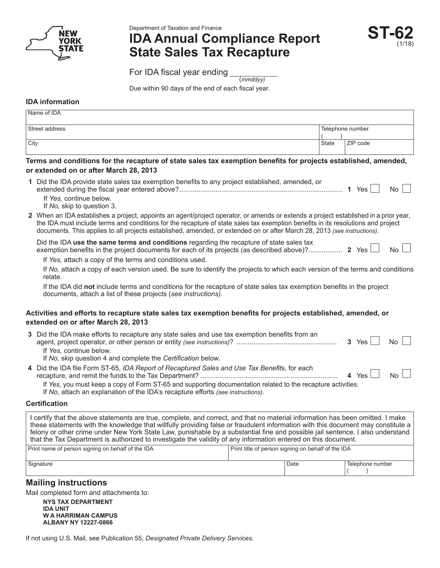

Department of Taxation and Finance

# **IDA Annual Compliance Report State Sales Tax Recapture**

**ST-62** (1/18)

For IDA fiscal year ending (*mmddyy)*

Due within 90 days of the end of each fiscal year.

## **IDA information**

| Name of IDA    |                  |          |  |
|----------------|------------------|----------|--|
| Street address | Telephone number |          |  |
|                |                  |          |  |
| <b>City</b>    | <b>State</b>     | ZIP code |  |
|                |                  |          |  |

### **Terms and conditions for the recapture of state sales tax exemption benefits for projects established, amended, or extended on or after March 28, 2013**

| 1 Did the IDA provide state sales tax exemption benefits to any project established, amended, or<br>$\overline{N_0}$    <br>Yes i    |
|--------------------------------------------------------------------------------------------------------------------------------------|
| If Yes, continue below.                                                                                                              |
| If No. skip to question 3.                                                                                                           |
| 2 When an IDA establishes a project, appoints an agent/project operator, or amends or extends a project established in a prior year. |

**2** When an IDA establishes a project, appoints an agent/project operator, or amends or extends a project established in a prior year, the IDA must include terms and conditions for the recapture of state sales tax exemption benefits in its resolutions and project documents. This applies to all projects established, amended, or extended on or after March 28, 2013 *(see instructions)*.

| Did the IDA use the same terms and conditions regarding the recapture of state sales tax |  |  |
|------------------------------------------------------------------------------------------|--|--|
|                                                                                          |  |  |
|                                                                                          |  |  |

If *Yes,* attach a copy of the terms and conditions used.

If *No,* attach a copy of each version used. Be sure to identify the projects to which each version of the terms and conditions relate.

If the IDA did **not** include terms and conditions for the recapture of state sales tax exemption benefits in the project documents, attach a list of these projects (*see instructions).*

### **Activities and efforts to recapture state sales tax exemption benefits for projects established, amended, or extended on or after March 28, 2013**

| 3 Did the IDA make efforts to recapture any state sales and use tax exemption benefits from an<br>If Yes, continue below.<br>If No, skip question 4 and complete the Certification below. | $3 \text{Yes}$ | $No$ $\vert$ $\vert$ |  |
|-------------------------------------------------------------------------------------------------------------------------------------------------------------------------------------------|----------------|----------------------|--|
| 4 Did the IDA file Form ST-65, IDA Report of Recaptured Sales and Use Tax Benefits, for each                                                                                              |                |                      |  |

|                                                                                                              | 4 Yes | <b>No</b> |
|--------------------------------------------------------------------------------------------------------------|-------|-----------|
| If Yes, you must keep a copy of Form ST-65 and supporting documentation related to the recapture activities. |       |           |
| If No, attach an explanation of the IDA's recapture efforts (see instructions).                              |       |           |

#### **Certification**

I certify that the above statements are true, complete, and correct, and that no material information has been omitted. I make these statements with the knowledge that willfully providing false or fraudulent information with this document may constitute a felony or other crime under New York State Law, punishable by a substantial fine and possible jail sentence. I also understand that the Tax Department is authorized to investigate the validity of any information entered on this document.

| Print name of person signing on behalf of the IDA | Print title of person signing on behalf of the IDA |      |                  |
|---------------------------------------------------|----------------------------------------------------|------|------------------|
| Signature                                         |                                                    | Date | Telephone number |

# **Mailing instructions**

Mail completed form and attachments to:

**NYS TAX DEPARTMENT IDA UNIT W A HARRIMAN CAMPUS ALBANY NY 12227-0866**

If not using U.S. Mail, see Publication 55, *Designated Private Delivery Services.*